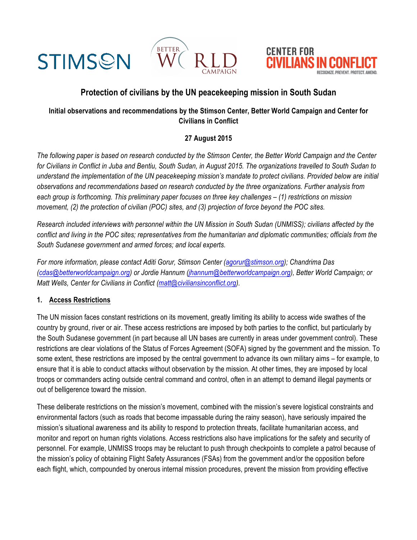



# **Protection of civilians by the UN peacekeeping mission in South Sudan**

## **Initial observations and recommendations by the Stimson Center, Better World Campaign and Center for Civilians in Conflict**

# **27 August 2015**

*The following paper is based on research conducted by the Stimson Center, the Better World Campaign and the Center for Civilians in Conflict in Juba and Bentiu, South Sudan, in August 2015. The organizations travelled to South Sudan to understand the implementation of the UN peacekeeping mission's mandate to protect civilians. Provided below are initial observations and recommendations based on research conducted by the three organizations. Further analysis from each group is forthcoming. This preliminary paper focuses on three key challenges – (1) restrictions on mission movement, (2) the protection of civilian (POC) sites, and (3) projection of force beyond the POC sites.*

*Research included interviews with personnel within the UN Mission in South Sudan (UNMISS); civilians affected by the conflict and living in the POC sites; representatives from the humanitarian and diplomatic communities; officials from the South Sudanese government and armed forces; and local experts.* 

*For more information, please contact Aditi Gorur, Stimson Center (agorur@stimson.org); Chandrima Das (cdas@betterworldcampaign.org) or Jordie Hannum (jhannum@betterworldcampaign.org), Better World Campaign; or Matt Wells, Center for Civilians in Conflict (matt@civiliansinconflict.org).*

#### **1. Access Restrictions**

**STIMSON** 

The UN mission faces constant restrictions on its movement, greatly limiting its ability to access wide swathes of the country by ground, river or air. These access restrictions are imposed by both parties to the conflict, but particularly by the South Sudanese government (in part because all UN bases are currently in areas under government control). These restrictions are clear violations of the Status of Forces Agreement (SOFA) signed by the government and the mission. To some extent, these restrictions are imposed by the central government to advance its own military aims – for example, to ensure that it is able to conduct attacks without observation by the mission. At other times, they are imposed by local troops or commanders acting outside central command and control, often in an attempt to demand illegal payments or out of belligerence toward the mission.

These deliberate restrictions on the mission's movement, combined with the mission's severe logistical constraints and environmental factors (such as roads that become impassable during the rainy season), have seriously impaired the mission's situational awareness and its ability to respond to protection threats, facilitate humanitarian access, and monitor and report on human rights violations. Access restrictions also have implications for the safety and security of personnel. For example, UNMISS troops may be reluctant to push through checkpoints to complete a patrol because of the mission's policy of obtaining Flight Safety Assurances (FSAs) from the government and/or the opposition before each flight, which, compounded by onerous internal mission procedures, prevent the mission from providing effective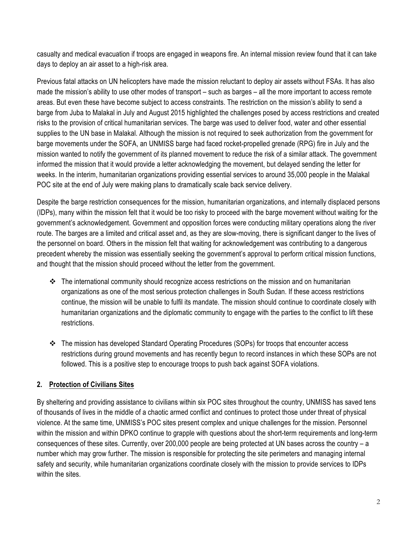casualty and medical evacuation if troops are engaged in weapons fire. An internal mission review found that it can take days to deploy an air asset to a high-risk area.

Previous fatal attacks on UN helicopters have made the mission reluctant to deploy air assets without FSAs. It has also made the mission's ability to use other modes of transport – such as barges – all the more important to access remote areas. But even these have become subject to access constraints. The restriction on the mission's ability to send a barge from Juba to Malakal in July and August 2015 highlighted the challenges posed by access restrictions and created risks to the provision of critical humanitarian services. The barge was used to deliver food, water and other essential supplies to the UN base in Malakal. Although the mission is not required to seek authorization from the government for barge movements under the SOFA, an UNMISS barge had faced rocket-propelled grenade (RPG) fire in July and the mission wanted to notify the government of its planned movement to reduce the risk of a similar attack. The government informed the mission that it would provide a letter acknowledging the movement, but delayed sending the letter for weeks. In the interim, humanitarian organizations providing essential services to around 35,000 people in the Malakal POC site at the end of July were making plans to dramatically scale back service delivery.

Despite the barge restriction consequences for the mission, humanitarian organizations, and internally displaced persons (IDPs), many within the mission felt that it would be too risky to proceed with the barge movement without waiting for the government's acknowledgement. Government and opposition forces were conducting military operations along the river route. The barges are a limited and critical asset and, as they are slow-moving, there is significant danger to the lives of the personnel on board. Others in the mission felt that waiting for acknowledgement was contributing to a dangerous precedent whereby the mission was essentially seeking the government's approval to perform critical mission functions, and thought that the mission should proceed without the letter from the government.

- $\cdot \cdot$  The international community should recognize access restrictions on the mission and on humanitarian organizations as one of the most serious protection challenges in South Sudan. If these access restrictions continue, the mission will be unable to fulfil its mandate. The mission should continue to coordinate closely with humanitarian organizations and the diplomatic community to engage with the parties to the conflict to lift these restrictions.
- $\div$  The mission has developed Standard Operating Procedures (SOPs) for troops that encounter access restrictions during ground movements and has recently begun to record instances in which these SOPs are not followed. This is a positive step to encourage troops to push back against SOFA violations.

## **2. Protection of Civilians Sites**

By sheltering and providing assistance to civilians within six POC sites throughout the country, UNMISS has saved tens of thousands of lives in the middle of a chaotic armed conflict and continues to protect those under threat of physical violence. At the same time, UNMISS's POC sites present complex and unique challenges for the mission. Personnel within the mission and within DPKO continue to grapple with questions about the short-term requirements and long-term consequences of these sites. Currently, over 200,000 people are being protected at UN bases across the country – a number which may grow further. The mission is responsible for protecting the site perimeters and managing internal safety and security, while humanitarian organizations coordinate closely with the mission to provide services to IDPs within the sites.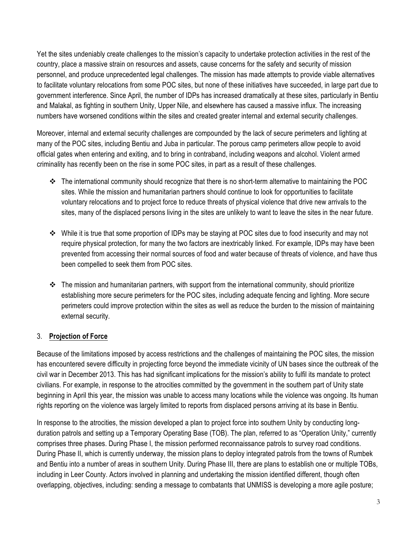Yet the sites undeniably create challenges to the mission's capacity to undertake protection activities in the rest of the country, place a massive strain on resources and assets, cause concerns for the safety and security of mission personnel, and produce unprecedented legal challenges. The mission has made attempts to provide viable alternatives to facilitate voluntary relocations from some POC sites, but none of these initiatives have succeeded, in large part due to government interference. Since April, the number of IDPs has increased dramatically at these sites, particularly in Bentiu and Malakal, as fighting in southern Unity, Upper Nile, and elsewhere has caused a massive influx. The increasing numbers have worsened conditions within the sites and created greater internal and external security challenges.

Moreover, internal and external security challenges are compounded by the lack of secure perimeters and lighting at many of the POC sites, including Bentiu and Juba in particular. The porous camp perimeters allow people to avoid official gates when entering and exiting, and to bring in contraband, including weapons and alcohol. Violent armed criminality has recently been on the rise in some POC sites, in part as a result of these challenges.

- v The international community should recognize that there is no short-term alternative to maintaining the POC sites. While the mission and humanitarian partners should continue to look for opportunities to facilitate voluntary relocations and to project force to reduce threats of physical violence that drive new arrivals to the sites, many of the displaced persons living in the sites are unlikely to want to leave the sites in the near future.
- While it is true that some proportion of IDPs may be staying at POC sites due to food insecurity and may not require physical protection, for many the two factors are inextricably linked. For example, IDPs may have been prevented from accessing their normal sources of food and water because of threats of violence, and have thus been compelled to seek them from POC sites.
- $\cdot \cdot$  The mission and humanitarian partners, with support from the international community, should prioritize establishing more secure perimeters for the POC sites, including adequate fencing and lighting. More secure perimeters could improve protection within the sites as well as reduce the burden to the mission of maintaining external security.

#### 3. **Projection of Force**

Because of the limitations imposed by access restrictions and the challenges of maintaining the POC sites, the mission has encountered severe difficulty in projecting force beyond the immediate vicinity of UN bases since the outbreak of the civil war in December 2013. This has had significant implications for the mission's ability to fulfil its mandate to protect civilians. For example, in response to the atrocities committed by the government in the southern part of Unity state beginning in April this year, the mission was unable to access many locations while the violence was ongoing. Its human rights reporting on the violence was largely limited to reports from displaced persons arriving at its base in Bentiu.

In response to the atrocities, the mission developed a plan to project force into southern Unity by conducting longduration patrols and setting up a Temporary Operating Base (TOB). The plan, referred to as "Operation Unity," currently comprises three phases. During Phase I, the mission performed reconnaissance patrols to survey road conditions. During Phase II, which is currently underway, the mission plans to deploy integrated patrols from the towns of Rumbek and Bentiu into a number of areas in southern Unity. During Phase III, there are plans to establish one or multiple TOBs, including in Leer County. Actors involved in planning and undertaking the mission identified different, though often overlapping, objectives, including: sending a message to combatants that UNMISS is developing a more agile posture;